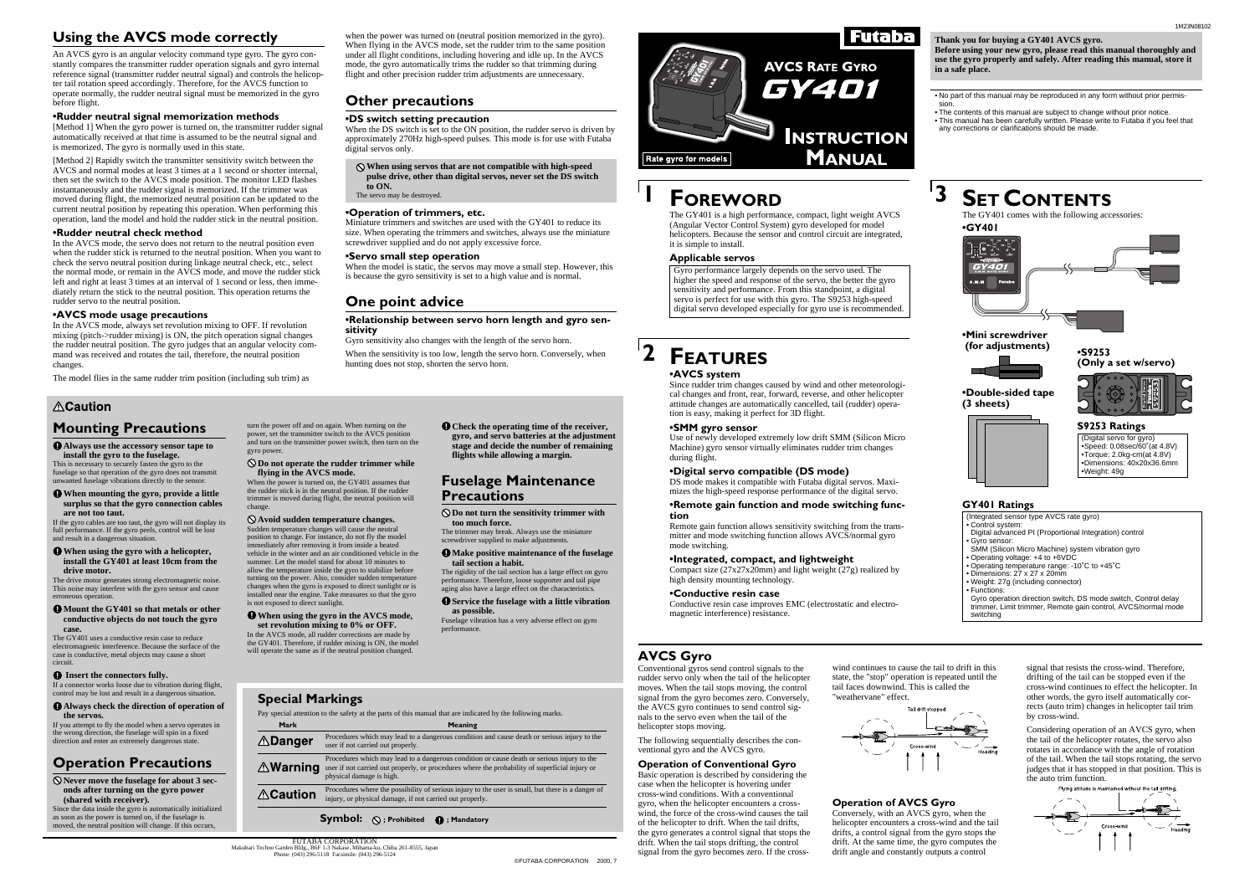# **FEATURES**

# **1 FOREWORD**

**2**

### **•AVCS system**

Since rudder trim changes caused by wind and other meteorological changes and front, rear, forward, reverse, and other helicopter attitude changes are automatically cancelled, tail (rudder) operation is easy, making it perfect for 3D flight.

#### **•SMM gyro sensor**

Use of newly developed extremely low drift SMM (Silicon Micro Machine) gyro sensor virtually eliminates rudder trim changes during flight.

### **•Digital servo compatible (DS mode)**

DS mode makes it compatible with Futaba digital servos. Maximizes the high-speed response performance of the digital servo.

#### **•Remote gain function and mode switching function**

Remote gain function allows sensitivity switching from the transmitter and mode switching function allows AVCS/normal gyro mode switching.

### **•Integrated, compact, and lightweight**

Compact size (27x27x20mm) and light weight (27g) realized by high density mounting technology.

### **•Conductive resin case**

Conductive resin case improves EMC (electrostatic and electromagnetic interference) resistance.

# **SET CONTENTS**

The GY401 is a high performance, compact, light weight AVCS (Angular Vector Control System) gyro developed for model helicopters. Because the sensor and control circuit are integrated, it is simple to install.

### **Applicable servos**

Gyro performance largely depends on the servo used. The higher the speed and response of the servo, the better the gyro sensitivity and performance. From this standpoint, a digital servo is perfect for use with this gyro. The S9253 high-speed digital servo developed especially for gyro use is recommended.

**•GY401** The GY401 comes with the following accessories:



- No part of this manual may be reproduced in any form without prior permission.
- The contents of this manual are subject to change without prior notice. • This manual has been carefully written. Please write to Futaba if you feel that
- any corrections or clarifications should be made.

#### **Thank you for buying a GY401 AVCS gyro. Before using your new gyro, please read this manual thoroughly and use the gyro properly and safely. After reading this manual, store it in a safe place.**

Considering operation of an AVCS gyro, when the tail of the helicopter rotates, the servo also rotates in accordance with the angle of rotation of the tail. When the tail stops rotating, the servo judges that it has stopped in that position. This is the auto trim function.<br>Flying attitude is maintained without the tail drifting



# **Futaba**

**AVCS RATE GYRO** GY401 **INSTRUCTION MANUAL** Rate gyro for models

### **GY401 Ratings**

#### $\bullet$  Make positive maintenance of the fuselage **tail section a habit.**

- (Integrated sensor type AVCS rate gyro)
- Control system:
- Digital advanced PI (Proportional Integration) control • Gyro sensor:
- SMM (Silicon Micro Machine) system vibration gyro
- Operating voltage: +4 to +6VDC • Operating temperature range: -10˚C to +45˚C
- Dimensions: 27 x 27 x 20mm
- Weight: 27g (including connector)
- Functions:

Gyro operation direction switch, DS mode switch, Control delay trimmer, Limit trimmer, Remote gain control, AVCS/normal mode switching

# **AVCS Gyro**

 $\bullet$  Mount the GY401 so that metals or other **conductive objects do not touch the gyro case.**

> Conventional gyros send control signals to the wind continues to cause the tail to drift in this rudder servo only when the tail of the helicopter moves. When the tail stops moving, the control signal from the gyro becomes zero. Conversely, the AVCS gyro continues to send control signals to the servo even when the tail of the helicopter stops moving.

### **Operation of Conventional Gyro**

Basic operation is described by considering the case when the helicopter is hovering under cross-wind conditions. With a conventional gyro, when the helicopter encounters a crosswind, the force of the cross-wind causes the tail of the helicopter to drift. When the tail drifts, the gyro generates a control signal that stops the drift. When the tail stops drifting, the control signal from the gyro becomes zero. If the cross-

### **Operation of AVCS Gyro**

Conversely, with an AVCS gyro, when the helicopter encounters a cross-wind and the tail drifts, a control signal from the gyro stops the drift. At the same time, the gyro computes the drift angle and constantly outputs a control

state, the "stop" operation is repeated until the tail faces downwind. This is called the "weathervane" effect.



signal that resists the cross-wind. Therefore, drifting of the tail can be stopped even if the cross-wind continues to effect the helicopter. In other words, the gyro itself automatically corrects (auto trim) changes in helicopter tail trim by cross-wind.

### **Fuselage Maintenance Precautions**

**Do not turn the sensitivity trimmer with too much force.**

The trimmer may break. Always use the miniature screwdriver supplied to make adjustments.

The rigidity of the tail section has a large effect on gyro performance. Therefore, loose supporter and tail pipe aging also have a large effect on the characteristics.

#### **Service the fuselage with a little vibration as possible.**

Fuselage vibration has a very adverse effect on gyro performance.

## **Mounting Precautions**

**Always use the accessory sensor tape to install the gyro to the fuselage.**

> The following sequentially describes the conventional gyro and the AVCS gyro. Procedures which may lead to a dangerous condition and cause death or serious injury to the Procedures which may lead to a dangerous condition or cause death or serious injury to the

This is necessary to securely fasten the gyro to the fuselage so that operation of the gyro does not transmit unwanted fuselage vibrations directly to the sensor.

#### **When mounting the gyro, provide a little surplus so that the gyro connection cables are not too taut.**

If the gyro cables are too taut, the gyro will not display its full performance. If the gyro peels, control will be lost and result in a dangerous situation.

#### **When using the gyro with a helicopter, install the GY401 at least 10cm from the drive motor.**

The drive motor generates strong electromagnetic noise. This noise may interfere with the gyro sensor and cause erroneous operation.

The GY401 uses a conductive resin case to reduce electromagnetic interference. Because the surface of the case is conductive, metal objects may cause a short circuit.

#### $\bullet$  Insert the connectors fully.

If a connector works loose due to vibration during flight, control may be lost and result in a dangerous situation.

#### **Always check the direction of operation of the servos.**

If you attempt to fly the model when a servo operates in the wrong direction, the fuselage will spin in a fixed direction and enter an extremely dangerous state.

## **Operation Precautions**

**Never move the fuselage for about 3 seconds after turning on the gyro power (shared with receiver).**

Since the data inside the gyro is automatically initialized as soon as the power is turned on, if the fuselage is moved, the neutral position will change. If this occurs,

> FUTABA CORPORATION Makuhari Techno Garden Bldg., B6F 1-3 Nakase, Mihama-ku, Chiba 261-8555, Japan Phone: (043) 296-5118 Facsimile: (043) 296-5124

**Warning** user if not carried out properly, or procedures where the probability of superficial injury or

**Special Markings**

**ADanger** 

**ACaution** 

Pay special attention to the safety at the parts of this manual that are indicated by the following marks.

user if not carried out properly.

physical damage is high.

Procedures where the possibility of serious injury to the user is small, but there is a danger of

injury, or physical damage, if not carried out properly.

**Symbol:**  $\bigcirc$ ; Prohibited  $\bigcirc$ ; Mandatory

**Mark** Meaning

**Check the operating time of the receiver, gyro, and servo batteries at the adjustment stage and decide the number of remaining flights while allowing a margin.**

turn the power off and on again. When turning on the power, set the transmitter switch to the AVCS position and turn on the transmitter power switch, then turn on the gyro power.

**Do not operate the rudder trimmer while flying in the AVCS mode.**

When the power is turned on, the GY401 assumes that the rudder stick is in the neutral position. If the rudder trimmer is moved during flight, the neutral position will change.

#### **Avoid sudden temperature changes.**

Sudden temperature changes will cause the neutral position to change. For instance, do not fly the model immediately after removing it from inside a heated vehicle in the winter and an air conditioned vehicle in the summer. Let the model stand for about 10 minutes to allow the temperature inside the gyro to stabilize before turning on the power. Also, consider sudden temperature changes when the gyro is exposed to direct sunlight or is installed near the engine. Take measures so that the gyro is not exposed to direct sunlight.

#### **When using the gyro in the AVCS mode, set revolution mixing to 0% or OFF.**

In the AVCS mode, all rudder corrections are made by the GY401. Therefore, if rudder mixing is ON, the model will operate the same as if the neutral position changed.

# **Using the AVCS mode correctly**

An AVCS gyro is an angular velocity command type gyro. The gyro constantly compares the transmitter rudder operation signals and gyro internal reference signal (transmitter rudder neutral signal) and controls the helicopter tail rotation speed accordingly. Therefore, for the AVCS function to operate normally, the rudder neutral signal must be memorized in the gyro before flight.

#### **•Rudder neutral signal memorization methods**

[Method 1] When the gyro power is turned on, the transmitter rudder signal automatically received at that time is assumed to be the neutral signal and is memorized. The gyro is normally used in this state.

[Method 2] Rapidly switch the transmitter sensitivity switch between the AVCS and normal modes at least 3 times at a 1 second or shorter internal, then set the switch to the AVCS mode position. The monitor LED flashes instantaneously and the rudder signal is memorized. If the trimmer was moved during flight, the memorized neutral position can be updated to the current neutral position by repeating this operation. When performing this operation, land the model and hold the rudder stick in the neutral position.

#### **•Rudder neutral check method**

In the AVCS mode, the servo does not return to the neutral position even when the rudder stick is returned to the neutral position. When you want to check the servo neutral position during linkage neutral check, etc., select the normal mode, or remain in the AVCS mode, and move the rudder stick left and right at least 3 times at an interval of 1 second or less, then immediately return the stick to the neutral position. This operation returns the rudder servo to the neutral position.

#### **•AVCS mode usage precautions**

In the AVCS mode, always set revolution mixing to OFF. If revolution mixing (pitch->rudder mixing) is ON, the pitch operation signal changes the rudder neutral position. The gyro judges that an angular velocity command was received and rotates the tail, therefore, the neutral position changes.

The model flies in the same rudder trim position (including sub trim) as

### **ACaution**

when the power was turned on (neutral position memorized in the gyro). When flying in the AVCS mode, set the rudder trim to the same position under all flight conditions, including hovering and idle up. In the AVCS mode, the gyro automatically trims the rudder so that trimming during flight and other precision rudder trim adjustments are unnecessary.

## **Other precautions**

#### **•DS switch setting precaution**

When the DS switch is set to the ON position, the rudder servo is driven by approximately 270Hz high-speed pulses. This mode is for use with Futaba digital servos only.

#### **When using servos that are not compatible with high-speed pulse drive, other than digital servos, never set the DS switch to ON.**

The servo may be destroyed.

#### **•Operation of trimmers, etc.**

Miniature trimmers and switches are used with the GY401 to reduce its size. When operating the trimmers and switches, always use the miniature screwdriver supplied and do not apply excessive force.

#### **•Servo small step operation**

When the model is static, the servos may move a small step. However, this is because the gyro sensitivity is set to a high value and is normal.

### **One point advice**

#### **•Relationship between servo horn length and gyro sensitivity**

Gyro sensitivity also changes with the length of the servo horn.

When the sensitivity is too low, length the servo horn. Conversely, when hunting does not stop, shorten the servo horn.